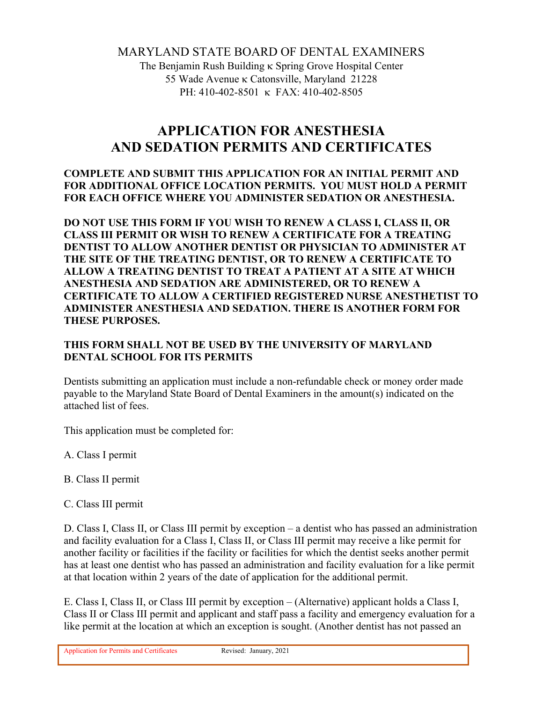# MARYLAND STATE BOARD OF DENTAL EXAMINERS

The Benjamin Rush Building **K** Spring Grove Hospital Center 55 Wade Avenue κ Catonsville, Maryland 21228 PH: 410-402-8501 K FAX: 410-402-8505

# **APPLICATION FOR ANESTHESIA AND SEDATION PERMITS AND CERTIFICATES**

### **COMPLETE AND SUBMIT THIS APPLICATION FOR AN INITIAL PERMIT AND FOR ADDITIONAL OFFICE LOCATION PERMITS. YOU MUST HOLD A PERMIT FOR EACH OFFICE WHERE YOU ADMINISTER SEDATION OR ANESTHESIA.**

**DO NOT USE THIS FORM IF YOU WISH TO RENEW A CLASS I, CLASS II, OR CLASS III PERMIT OR WISH TO RENEW A CERTIFICATE FOR A TREATING DENTIST TO ALLOW ANOTHER DENTIST OR PHYSICIAN TO ADMINISTER AT THE SITE OF THE TREATING DENTIST, OR TO RENEW A CERTIFICATE TO ALLOW A TREATING DENTIST TO TREAT A PATIENT AT A SITE AT WHICH ANESTHESIA AND SEDATION ARE ADMINISTERED, OR TO RENEW A CERTIFICATE TO ALLOW A CERTIFIED REGISTERED NURSE ANESTHETIST TO ADMINISTER ANESTHESIA AND SEDATION. THERE IS ANOTHER FORM FOR THESE PURPOSES.** 

## **THIS FORM SHALL NOT BE USED BY THE UNIVERSITY OF MARYLAND DENTAL SCHOOL FOR ITS PERMITS**

Dentists submitting an application must include a non-refundable check or money order made payable to the Maryland State Board of Dental Examiners in the amount(s) indicated on the attached list of fees.

This application must be completed for:

A. Class I permit

- B. Class II permit
- C. Class III permit

D. Class I, Class II, or Class III permit by exception – a dentist who has passed an administration and facility evaluation for a Class I, Class II, or Class III permit may receive a like permit for another facility or facilities if the facility or facilities for which the dentist seeks another permit has at least one dentist who has passed an administration and facility evaluation for a like permit at that location within 2 years of the date of application for the additional permit.

E. Class I, Class II, or Class III permit by exception – (Alternative) applicant holds a Class I, Class II or Class III permit and applicant and staff pass a facility and emergency evaluation for a like permit at the location at which an exception is sought. (Another dentist has not passed an

Application for Permits and Certificates Revised: January, 2021

 $\overline{a}$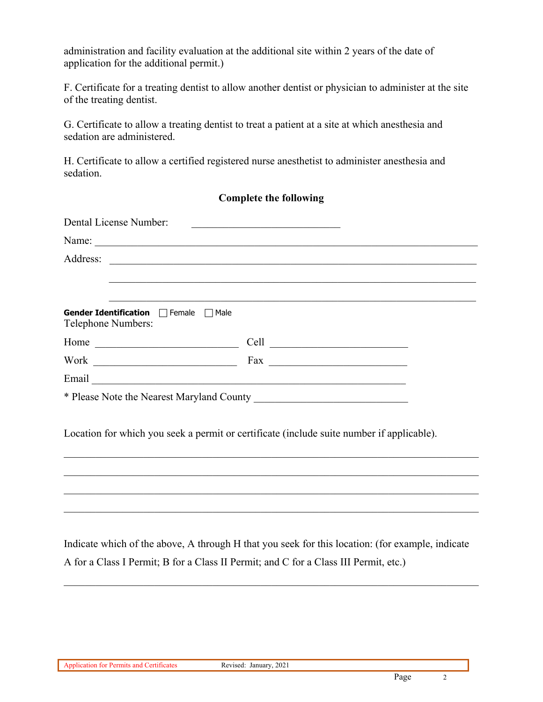administration and facility evaluation at the additional site within 2 years of the date of application for the additional permit.)

F. Certificate for a treating dentist to allow another dentist or physician to administer at the site of the treating dentist.

G. Certificate to allow a treating dentist to treat a patient at a site at which anesthesia and sedation are administered.

H. Certificate to allow a certified registered nurse anesthetist to administer anesthesia and sedation.

## **Complete the following**

| Dental License Number:                                      |                                                                                                                              |
|-------------------------------------------------------------|------------------------------------------------------------------------------------------------------------------------------|
|                                                             |                                                                                                                              |
| Address:                                                    |                                                                                                                              |
|                                                             |                                                                                                                              |
|                                                             |                                                                                                                              |
| Gender Identification □ Female □ Male<br>Telephone Numbers: |                                                                                                                              |
|                                                             | Cell<br><u> 1986 - Johann Barn, mars ar breithinn ar breithinn ar breithinn ar breithinn ar breithinn ar breithinn ar br</u> |
|                                                             |                                                                                                                              |
| Email                                                       |                                                                                                                              |
|                                                             |                                                                                                                              |

Location for which you seek a permit or certificate (include suite number if applicable).

Indicate which of the above, A through H that you seek for this location: (for example, indicate A for a Class I Permit; B for a Class II Permit; and C for a Class III Permit, etc.)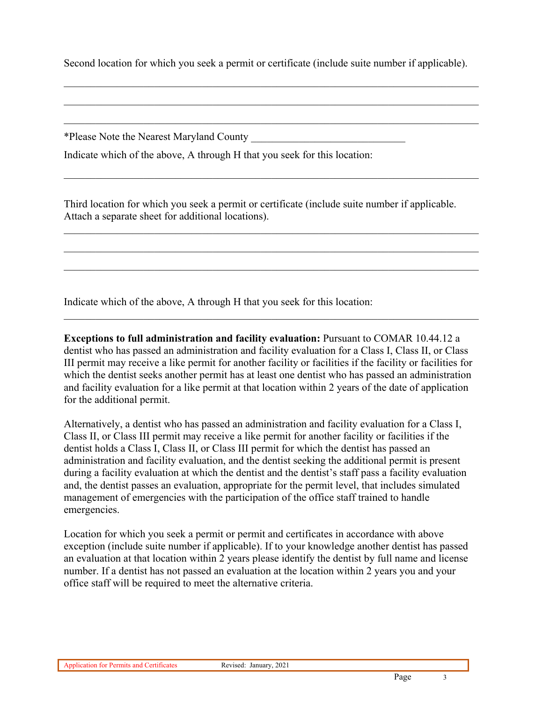Second location for which you seek a permit or certificate (include suite number if applicable).

\*Please Note the Nearest Maryland County \_\_\_\_\_\_\_\_\_\_\_\_\_\_\_\_\_\_\_\_\_\_\_\_\_\_\_\_\_

Indicate which of the above, A through H that you seek for this location:

Third location for which you seek a permit or certificate (include suite number if applicable. Attach a separate sheet for additional locations).

Indicate which of the above, A through H that you seek for this location:

**Exceptions to full administration and facility evaluation:** Pursuant to COMAR 10.44.12 a dentist who has passed an administration and facility evaluation for a Class I, Class II, or Class III permit may receive a like permit for another facility or facilities if the facility or facilities for which the dentist seeks another permit has at least one dentist who has passed an administration and facility evaluation for a like permit at that location within 2 years of the date of application for the additional permit.

Alternatively, a dentist who has passed an administration and facility evaluation for a Class I, Class II, or Class III permit may receive a like permit for another facility or facilities if the dentist holds a Class I, Class II, or Class III permit for which the dentist has passed an administration and facility evaluation, and the dentist seeking the additional permit is present during a facility evaluation at which the dentist and the dentist's staff pass a facility evaluation and, the dentist passes an evaluation, appropriate for the permit level, that includes simulated management of emergencies with the participation of the office staff trained to handle emergencies.

Location for which you seek a permit or permit and certificates in accordance with above exception (include suite number if applicable). If to your knowledge another dentist has passed an evaluation at that location within 2 years please identify the dentist by full name and license number. If a dentist has not passed an evaluation at the location within 2 years you and your office staff will be required to meet the alternative criteria.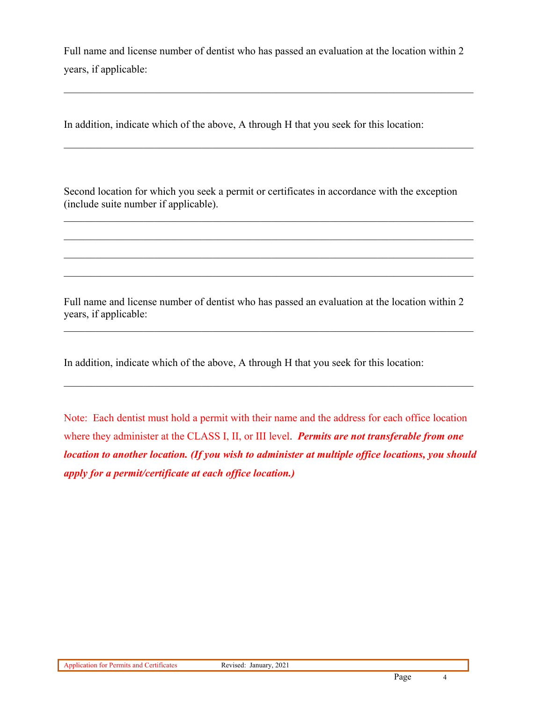Full name and license number of dentist who has passed an evaluation at the location within 2 years, if applicable:

In addition, indicate which of the above, A through H that you seek for this location:

Second location for which you seek a permit or certificates in accordance with the exception (include suite number if applicable).

Full name and license number of dentist who has passed an evaluation at the location within 2 years, if applicable:

In addition, indicate which of the above, A through H that you seek for this location:

Note: Each dentist must hold a permit with their name and the address for each office location where they administer at the CLASS I, II, or III level. *Permits are not transferable from one location to another location. (If you wish to administer at multiple office locations, you should apply for a permit/certificate at each office location.)*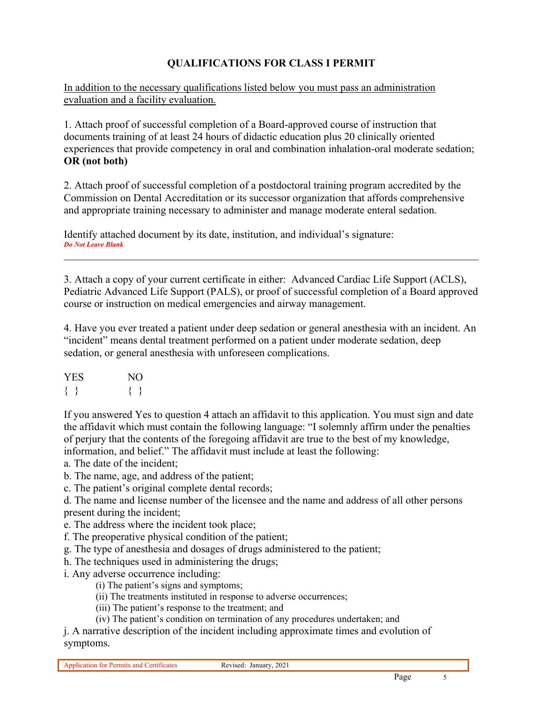## **QUALIFICATIONS FOR CLASS I PERMIT**

In addition to the necessary qualifications listed below you must pass an administration evaluation and a facility evaluation.

1. Attach proof of successful completion of a Board-approved course of instruction that documents training of at least 24 hours of didactic education plus 20 clinically oriented experiences that provide competency in oral and combination inhalation-oral moderate sedation; **OR (not both)** 

2. Attach proof of successful completion of a postdoctoral training program accredited by the Commission on Dental Accreditation or its successor organization that affords comprehensive and appropriate training necessary to administer and manage moderate enteral sedation.

Identify attached document by its date, institution, and individual's signature: *Do Not Leave Blank*

3. Attach a copy of your current certificate in either: Advanced Cardiac Life Support (ACLS), Pediatric Advanced Life Support (PALS), or proof of successful completion of a Board approved course or instruction on medical emergencies and airway management.

4. Have you ever treated a patient under deep sedation or general anesthesia with an incident. An "incident" means dental treatment performed on a patient under moderate sedation, deep sedation, or general anesthesia with unforeseen complications.

| <b>YES</b> | NO. |
|------------|-----|
|            |     |

If you answered Yes to question 4 attach an affidavit to this application. You must sign and date the affidavit which must contain the following language: "I solemnly affirm under the penalties of perjury that the contents of the foregoing affidavit are true to the best of my knowledge, information, and belief." The affidavit must include at least the following:

a. The date of the incident;

b. The name, age, and address of the patient;

c. The patient's original complete dental records;

d. The name and license number of the licensee and the name and address of all other persons present during the incident;

e. The address where the incident took place;

f. The preoperative physical condition of the patient;

g. The type of anesthesia and dosages of drugs administered to the patient;

h. The techniques used in administering the drugs;

i. Any adverse occurrence including:

(i) The patient's signs and symptoms;

(ii) The treatments instituted in response to adverse occurrences;

(iii) The patient's response to the treatment; and

(iv) The patient's condition on termination of any procedures undertaken; and

j. A narrative description of the incident including approximate times and evolution of symptoms.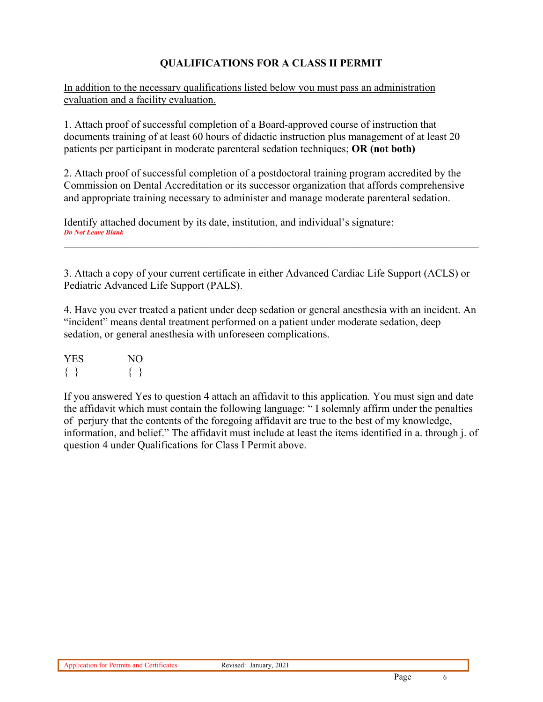# **QUALIFICATIONS FOR A CLASS II PERMIT**

In addition to the necessary qualifications listed below you must pass an administration evaluation and a facility evaluation.

1. Attach proof of successful completion of a Board-approved course of instruction that documents training of at least 60 hours of didactic instruction plus management of at least 20 patients per participant in moderate parenteral sedation techniques; **OR (not both)** 

2. Attach proof of successful completion of a postdoctoral training program accredited by the Commission on Dental Accreditation or its successor organization that affords comprehensive and appropriate training necessary to administer and manage moderate parenteral sedation.

Identify attached document by its date, institution, and individual's signature: *Do Not Leave Blank*

3. Attach a copy of your current certificate in either Advanced Cardiac Life Support (ACLS) or Pediatric Advanced Life Support (PALS).

4. Have you ever treated a patient under deep sedation or general anesthesia with an incident. An "incident" means dental treatment performed on a patient under moderate sedation, deep sedation, or general anesthesia with unforeseen complications.

| <b>YES</b> | NO. |
|------------|-----|
|            |     |

If you answered Yes to question 4 attach an affidavit to this application. You must sign and date the affidavit which must contain the following language: " I solemnly affirm under the penalties of perjury that the contents of the foregoing affidavit are true to the best of my knowledge, information, and belief." The affidavit must include at least the items identified in a. through j. of question 4 under Qualifications for Class I Permit above.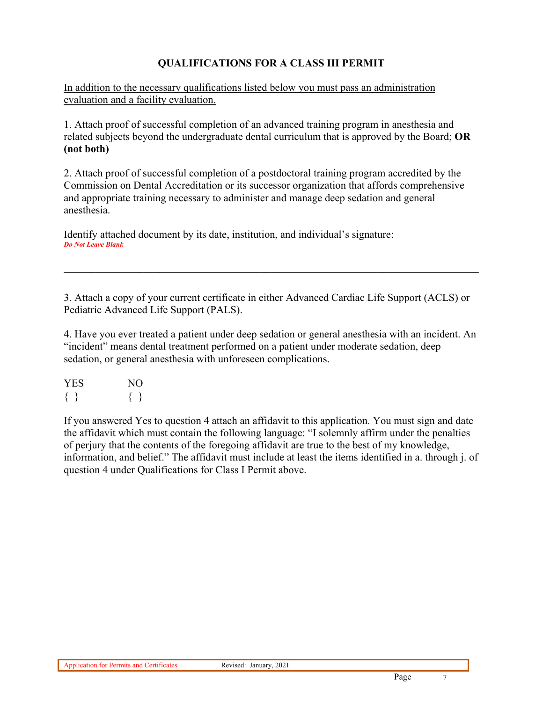## **QUALIFICATIONS FOR A CLASS III PERMIT**

In addition to the necessary qualifications listed below you must pass an administration evaluation and a facility evaluation.

1. Attach proof of successful completion of an advanced training program in anesthesia and related subjects beyond the undergraduate dental curriculum that is approved by the Board; **OR (not both)** 

2. Attach proof of successful completion of a postdoctoral training program accredited by the Commission on Dental Accreditation or its successor organization that affords comprehensive and appropriate training necessary to administer and manage deep sedation and general anesthesia.

Identify attached document by its date, institution, and individual's signature: *Do Not Leave Blank*

3. Attach a copy of your current certificate in either Advanced Cardiac Life Support (ACLS) or Pediatric Advanced Life Support (PALS).

4. Have you ever treated a patient under deep sedation or general anesthesia with an incident. An "incident" means dental treatment performed on a patient under moderate sedation, deep sedation, or general anesthesia with unforeseen complications.

| <b>YES</b> | NΟ |
|------------|----|
|            |    |

If you answered Yes to question 4 attach an affidavit to this application. You must sign and date the affidavit which must contain the following language: "I solemnly affirm under the penalties of perjury that the contents of the foregoing affidavit are true to the best of my knowledge, information, and belief." The affidavit must include at least the items identified in a. through j. of question 4 under Qualifications for Class I Permit above.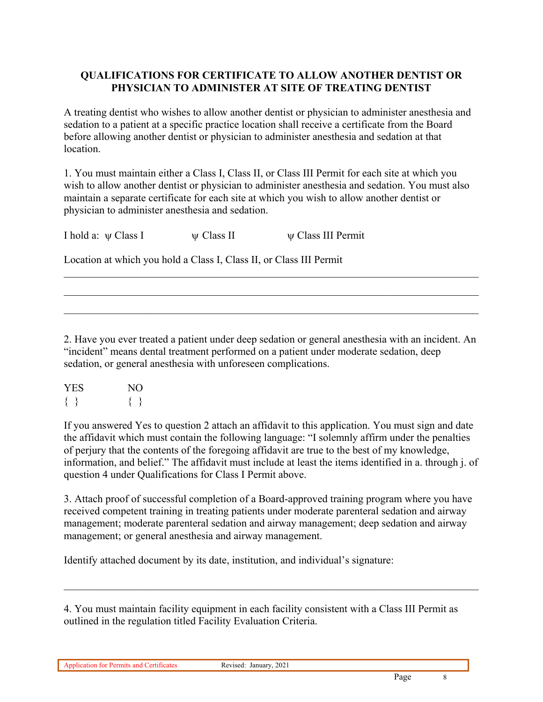### **QUALIFICATIONS FOR CERTIFICATE TO ALLOW ANOTHER DENTIST OR PHYSICIAN TO ADMINISTER AT SITE OF TREATING DENTIST**

A treating dentist who wishes to allow another dentist or physician to administer anesthesia and sedation to a patient at a specific practice location shall receive a certificate from the Board before allowing another dentist or physician to administer anesthesia and sedation at that location.

1. You must maintain either a Class I, Class II, or Class III Permit for each site at which you wish to allow another dentist or physician to administer anesthesia and sedation. You must also maintain a separate certificate for each site at which you wish to allow another dentist or physician to administer anesthesia and sedation.

I hold a:  $\psi$  Class I  $\psi$  Class II  $\psi$  Class III Permit

Location at which you hold a Class I, Class II, or Class III Permit

2. Have you ever treated a patient under deep sedation or general anesthesia with an incident. An "incident" means dental treatment performed on a patient under moderate sedation, deep sedation, or general anesthesia with unforeseen complications.

| <b>YES</b> | NO. |
|------------|-----|
|            |     |

If you answered Yes to question 2 attach an affidavit to this application. You must sign and date the affidavit which must contain the following language: "I solemnly affirm under the penalties of perjury that the contents of the foregoing affidavit are true to the best of my knowledge, information, and belief." The affidavit must include at least the items identified in a. through j. of question 4 under Qualifications for Class I Permit above.

3. Attach proof of successful completion of a Board-approved training program where you have received competent training in treating patients under moderate parenteral sedation and airway management; moderate parenteral sedation and airway management; deep sedation and airway management; or general anesthesia and airway management.

Identify attached document by its date, institution, and individual's signature:

4. You must maintain facility equipment in each facility consistent with a Class III Permit as outlined in the regulation titled Facility Evaluation Criteria.

Application for Permits and Certificates Revised: January, 2021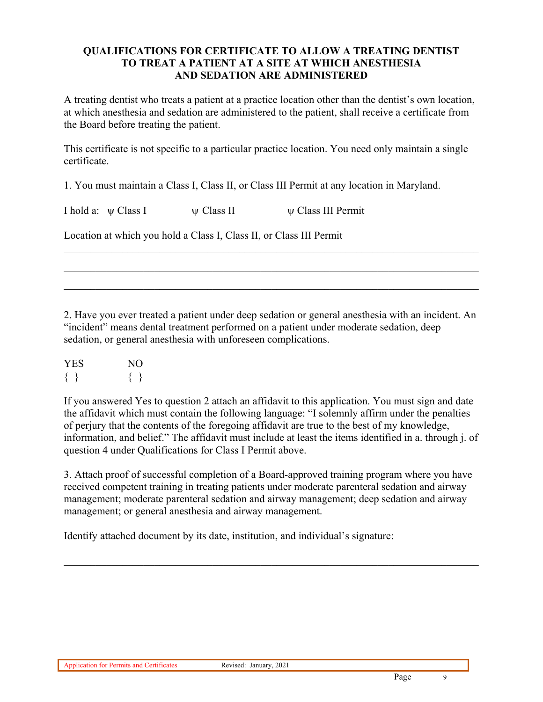#### **QUALIFICATIONS FOR CERTIFICATE TO ALLOW A TREATING DENTIST TO TREAT A PATIENT AT A SITE AT WHICH ANESTHESIA AND SEDATION ARE ADMINISTERED**

A treating dentist who treats a patient at a practice location other than the dentist's own location, at which anesthesia and sedation are administered to the patient, shall receive a certificate from the Board before treating the patient.

This certificate is not specific to a particular practice location. You need only maintain a single certificate.

1. You must maintain a Class I, Class II, or Class III Permit at any location in Maryland.

| I hold a: $\psi$ Class I | $\psi$ Class II | $\psi$ Class III Permit                                             |
|--------------------------|-----------------|---------------------------------------------------------------------|
|                          |                 | Location at which you hold a Class I, Class II, or Class III Permit |

2. Have you ever treated a patient under deep sedation or general anesthesia with an incident. An "incident" means dental treatment performed on a patient under moderate sedation, deep sedation, or general anesthesia with unforeseen complications.

| <b>YES</b> | NO. |
|------------|-----|
|            |     |

If you answered Yes to question 2 attach an affidavit to this application. You must sign and date the affidavit which must contain the following language: "I solemnly affirm under the penalties of perjury that the contents of the foregoing affidavit are true to the best of my knowledge, information, and belief." The affidavit must include at least the items identified in a. through j. of question 4 under Qualifications for Class I Permit above.

3. Attach proof of successful completion of a Board-approved training program where you have received competent training in treating patients under moderate parenteral sedation and airway management; moderate parenteral sedation and airway management; deep sedation and airway management; or general anesthesia and airway management.

Identify attached document by its date, institution, and individual's signature: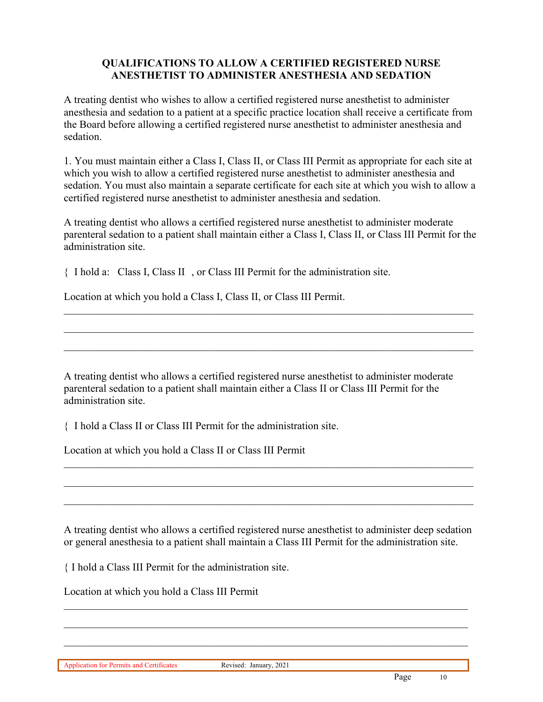### **QUALIFICATIONS TO ALLOW A CERTIFIED REGISTERED NURSE ANESTHETIST TO ADMINISTER ANESTHESIA AND SEDATION**

A treating dentist who wishes to allow a certified registered nurse anesthetist to administer anesthesia and sedation to a patient at a specific practice location shall receive a certificate from the Board before allowing a certified registered nurse anesthetist to administer anesthesia and sedation.

1. You must maintain either a Class I, Class II, or Class III Permit as appropriate for each site at which you wish to allow a certified registered nurse anesthetist to administer anesthesia and sedation. You must also maintain a separate certificate for each site at which you wish to allow a certified registered nurse anesthetist to administer anesthesia and sedation.

A treating dentist who allows a certified registered nurse anesthetist to administer moderate parenteral sedation to a patient shall maintain either a Class I, Class II, or Class III Permit for the administration site.

 $\mathcal{L}_\mathcal{L} = \mathcal{L}_\mathcal{L} = \mathcal{L}_\mathcal{L} = \mathcal{L}_\mathcal{L} = \mathcal{L}_\mathcal{L} = \mathcal{L}_\mathcal{L} = \mathcal{L}_\mathcal{L} = \mathcal{L}_\mathcal{L} = \mathcal{L}_\mathcal{L} = \mathcal{L}_\mathcal{L} = \mathcal{L}_\mathcal{L} = \mathcal{L}_\mathcal{L} = \mathcal{L}_\mathcal{L} = \mathcal{L}_\mathcal{L} = \mathcal{L}_\mathcal{L} = \mathcal{L}_\mathcal{L} = \mathcal{L}_\mathcal{L}$ 

I hold a: Class I, Class II , or Class III Permit for the administration site.

Location at which you hold a Class I, Class II, or Class III Permit.

A treating dentist who allows a certified registered nurse anesthetist to administer moderate parenteral sedation to a patient shall maintain either a Class II or Class III Permit for the administration site.

I hold a Class II or Class III Permit for the administration site.

Location at which you hold a Class II or Class III Permit

A treating dentist who allows a certified registered nurse anesthetist to administer deep sedation or general anesthesia to a patient shall maintain a Class III Permit for the administration site.

 $\mathcal{L}_\mathcal{L} = \mathcal{L}_\mathcal{L} = \mathcal{L}_\mathcal{L} = \mathcal{L}_\mathcal{L} = \mathcal{L}_\mathcal{L} = \mathcal{L}_\mathcal{L} = \mathcal{L}_\mathcal{L} = \mathcal{L}_\mathcal{L} = \mathcal{L}_\mathcal{L} = \mathcal{L}_\mathcal{L} = \mathcal{L}_\mathcal{L} = \mathcal{L}_\mathcal{L} = \mathcal{L}_\mathcal{L} = \mathcal{L}_\mathcal{L} = \mathcal{L}_\mathcal{L} = \mathcal{L}_\mathcal{L} = \mathcal{L}_\mathcal{L}$ 

I hold a Class III Permit for the administration site.

Location at which you hold a Class III Permit

Application for Permits and Certificates Revised: January, 2021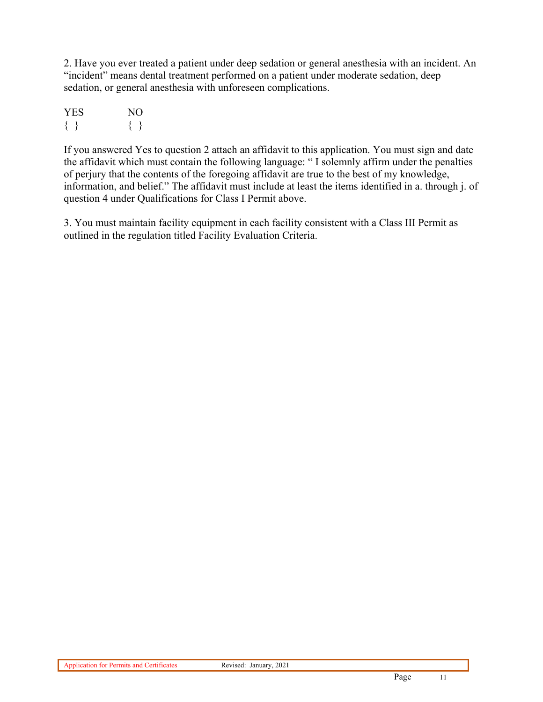2. Have you ever treated a patient under deep sedation or general anesthesia with an incident. An "incident" means dental treatment performed on a patient under moderate sedation, deep sedation, or general anesthesia with unforeseen complications.

| <b>YES</b> | NO. |
|------------|-----|
|            |     |

If you answered Yes to question 2 attach an affidavit to this application. You must sign and date the affidavit which must contain the following language: " I solemnly affirm under the penalties of perjury that the contents of the foregoing affidavit are true to the best of my knowledge, information, and belief." The affidavit must include at least the items identified in a. through j. of question 4 under Qualifications for Class I Permit above.

3. You must maintain facility equipment in each facility consistent with a Class III Permit as outlined in the regulation titled Facility Evaluation Criteria.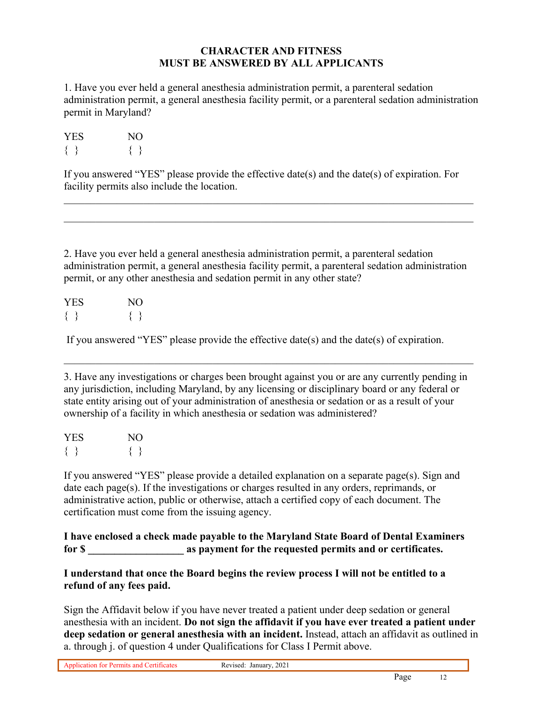#### **CHARACTER AND FITNESS MUST BE ANSWERED BY ALL APPLICANTS**

1. Have you ever held a general anesthesia administration permit, a parenteral sedation administration permit, a general anesthesia facility permit, or a parenteral sedation administration permit in Maryland?

| <b>YES</b> | NО |
|------------|----|
|            |    |

If you answered "YES" please provide the effective date(s) and the date(s) of expiration. For facility permits also include the location.

2. Have you ever held a general anesthesia administration permit, a parenteral sedation administration permit, a general anesthesia facility permit, a parenteral sedation administration permit, or any other anesthesia and sedation permit in any other state?

| <b>YES</b> | NО |
|------------|----|
|            |    |

If you answered "YES" please provide the effective date(s) and the date(s) of expiration.

3. Have any investigations or charges been brought against you or are any currently pending in any jurisdiction, including Maryland, by any licensing or disciplinary board or any federal or state entity arising out of your administration of anesthesia or sedation or as a result of your ownership of a facility in which anesthesia or sedation was administered?

| <b>YES</b> | NO. |
|------------|-----|
|            |     |

If you answered "YES" please provide a detailed explanation on a separate page(s). Sign and date each page(s). If the investigations or charges resulted in any orders, reprimands, or administrative action, public or otherwise, attach a certified copy of each document. The certification must come from the issuing agency.

**I have enclosed a check made payable to the Maryland State Board of Dental Examiners for \$ \_\_\_\_\_\_\_\_\_\_\_\_\_\_\_\_\_\_ as payment for the requested permits and or certificates.** 

**I understand that once the Board begins the review process I will not be entitled to a refund of any fees paid.** 

Sign the Affidavit below if you have never treated a patient under deep sedation or general anesthesia with an incident. **Do not sign the affidavit if you have ever treated a patient under deep sedation or general anesthesia with an incident.** Instead, attach an affidavit as outlined in a. through j. of question 4 under Qualifications for Class I Permit above.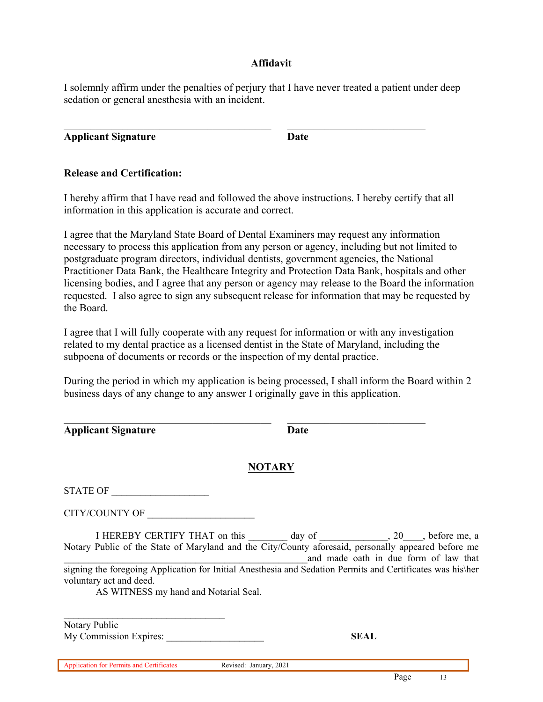#### **Affidavit**

I solemnly affirm under the penalties of perjury that I have never treated a patient under deep sedation or general anesthesia with an incident.

**Applicant Signature Date** 

### **Release and Certification:**

I hereby affirm that I have read and followed the above instructions. I hereby certify that all information in this application is accurate and correct.

I agree that the Maryland State Board of Dental Examiners may request any information necessary to process this application from any person or agency, including but not limited to postgraduate program directors, individual dentists, government agencies, the National Practitioner Data Bank, the Healthcare Integrity and Protection Data Bank, hospitals and other licensing bodies, and I agree that any person or agency may release to the Board the information requested. I also agree to sign any subsequent release for information that may be requested by the Board.

I agree that I will fully cooperate with any request for information or with any investigation related to my dental practice as a licensed dentist in the State of Maryland, including the subpoena of documents or records or the inspection of my dental practice.

During the period in which my application is being processed, I shall inform the Board within 2 business days of any change to any answer I originally gave in this application.

| <b>Applicant Signature</b> | Date |
|----------------------------|------|
|                            |      |

# **NOTARY**

| TATE OF<br>S'<br>UГ |  |
|---------------------|--|
|---------------------|--|

CITY/COUNTY OF \_\_\_\_\_\_\_\_\_\_\_\_\_\_\_\_\_\_\_\_\_\_

I HEREBY CERTIFY THAT on this \_\_\_\_\_\_\_\_ day of \_\_\_\_\_\_\_\_\_\_\_\_\_\_, 20\_\_\_, before me, a Notary Public of the State of Maryland and the City/County aforesaid, personally appeared before me and made oath in due form of law that signing the foregoing Application for Initial Anesthesia and Sedation Permits and Certificates was his\her voluntary act and deed.

AS WITNESS my hand and Notarial Seal.

Notary Public My Commission Expires: SEAL

Application for Permits and Certificates Revised: January, 2021